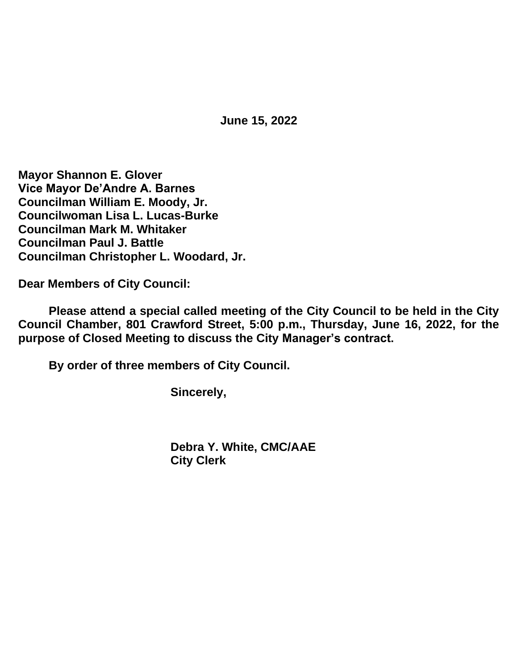**June 15, 2022**

**Mayor Shannon E. Glover Vice Mayor De'Andre A. Barnes Councilman William E. Moody, Jr. Councilwoman Lisa L. Lucas-Burke Councilman Mark M. Whitaker Councilman Paul J. Battle Councilman Christopher L. Woodard, Jr.**

**Dear Members of City Council:**

**Please attend a special called meeting of the City Council to be held in the City Council Chamber, 801 Crawford Street, 5:00 p.m., Thursday, June 16, 2022, for the purpose of Closed Meeting to discuss the City Manager's contract.**

**By order of three members of City Council.**

**Sincerely,**

**Debra Y. White, CMC/AAE City Clerk**